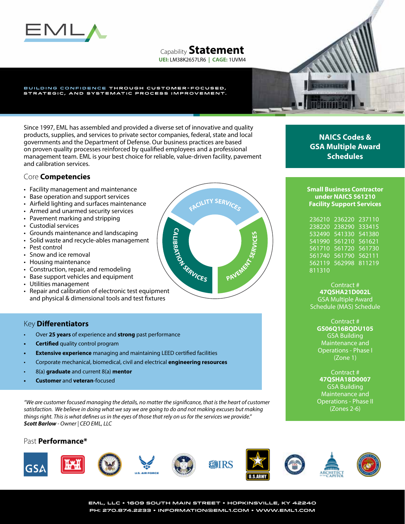

# Capability **Statement**

**UEI:** LM38K2657LR6 **| CAGE:** 1UVM4

#### BUILDING CONFIDENCE THROUGH CUSTOMER-FOCUSED, STRATEGIC, AND SYSTEMATIC PROCESS IMPROVEMENT.

Since 1997, EML has assembled and provided a diverse set of innovative and quality products, supplies, and services to private sector companies, federal, state and local governments and the Department of Defense. Our business practices are based on proven quality processes reinforced by qualified employees and a professional management team. EML is your best choice for reliable, value-driven facility, pavement and calibration services.

## Core **Competencies**

- Facility management and maintenance
- Base operation and support services
- Airfield lighting and surfaces maintenance
- Armed and unarmed security services
- Pavement marking and stripping
- Custodial services
- Grounds maintenance and landscaping
- Solid waste and recycle-ables management
- Pest control
- Snow and ice removal
- Housing maintenance
- Construction, repair, and remodeling
- Base support vehicles and equipment
- Utilities management
- Repair and calibration of electronic test equipment and physical & dimensional tools and test fixtures

# Key **Differentiators**

- Over **25 years** of experience and **strong** past performance
- **• Certified** quality control program
- **• Extensive experience** managing and maintaining LEED certified facilities
- Corporate mechanical, biomedical, civil and electrical **engineering resources**
- 8(a) **graduate** and current 8(a) **mentor**
- **• Customer** and **veteran**-focused

*"We are customer focused managing the details, no matter the significance, that is the heart of customer*  satisfaction. We believe in doing what we say we are going to do and not making excuses but making *things right. This is what defines us in the eyes of those that rely on us for the services we provide." Scott Barlow - Owner | CEO EML, LLC*

## Past **Performance\***



**NAICS Codes & GSA Multiple Award Schedules**

#### **Small Business Contractor under NAICS 561210 Facility Support Services**

236210 236220 237110 238220 238290 333415 532490 541330 541380 541990 561210 561621 561710 561720 561730 561740 561790 562111 562119 562998 811219 811310

#### Contract # **47QSHA21D002L**

GSA Multiple Award Schedule (MAS) Schedule

> Contract # **GS06Q16BQDU105** GSA Building Maintenance and Operations - Phase I (Zone 1)

> Contract # **47QSHA18D0007** GSA Building Maintenance and Operations - Phase II (Zones 2-6)

**EML, LLC • 1609 SOUTH MAIN STREET • HOPKINSVILLE, KY 42240 PH: 270.874.2233 • information@eml1.com • www.eml1.com**